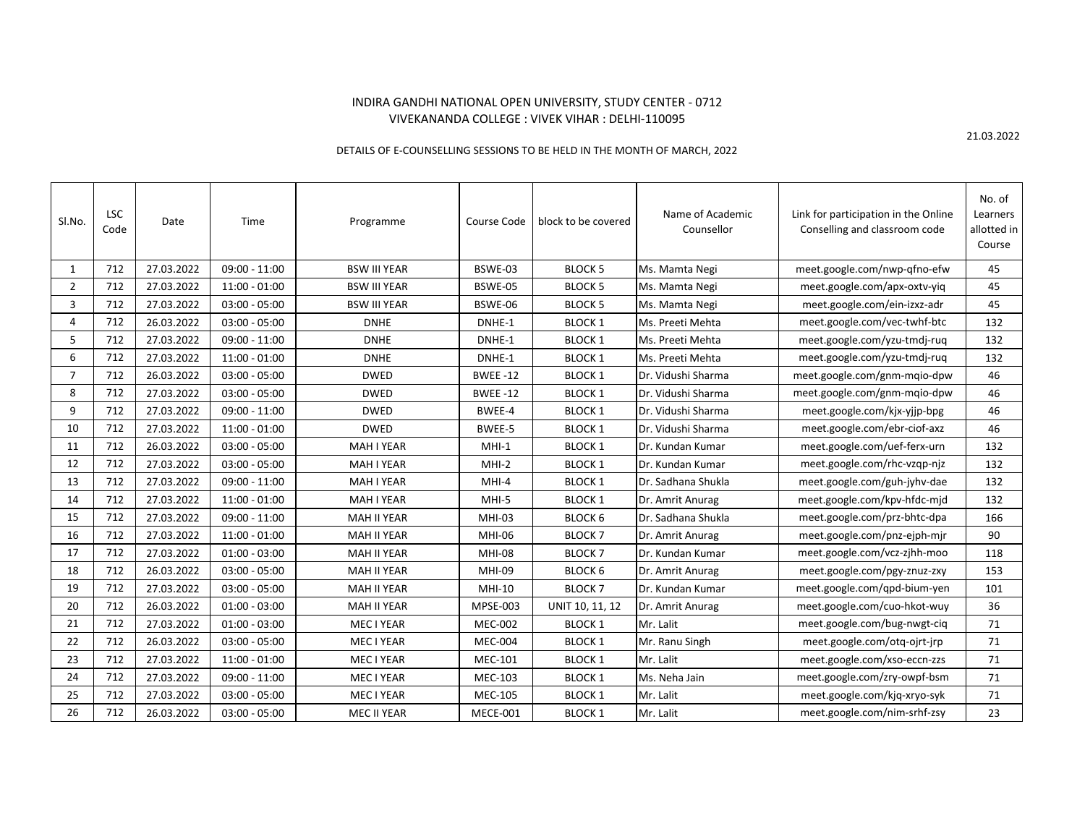## INDIRA GANDHI NATIONAL OPEN UNIVERSITY, STUDY CENTER - 0712 VIVEKANANDA COLLEGE : VIVEK VIHAR : DELHI-110095

## DETAILS OF E-COUNSELLING SESSIONS TO BE HELD IN THE MONTH OF MARCH, 2022

| Sl.No.         | <b>LSC</b><br>Code | Date       | Time            | Programme           | Course Code     | block to be covered | Name of Academic<br>Counsellor | Link for participation in the Online<br>Conselling and classroom code | No. of<br>Learners<br>allotted in<br>Course |
|----------------|--------------------|------------|-----------------|---------------------|-----------------|---------------------|--------------------------------|-----------------------------------------------------------------------|---------------------------------------------|
| 1              | 712                | 27.03.2022 | $09:00 - 11:00$ | <b>BSW III YEAR</b> | BSWE-03         | <b>BLOCK 5</b>      | Ms. Mamta Negi                 | meet.google.com/nwp-qfno-efw                                          | 45                                          |
| $\overline{2}$ | 712                | 27.03.2022 | $11:00 - 01:00$ | <b>BSW III YEAR</b> | BSWE-05         | <b>BLOCK 5</b>      | Ms. Mamta Negi                 | meet.google.com/apx-oxtv-yiq                                          | 45                                          |
| 3              | 712                | 27.03.2022 | $03:00 - 05:00$ | <b>BSW III YEAR</b> | BSWE-06         | <b>BLOCK 5</b>      | Ms. Mamta Negi                 | meet.google.com/ein-izxz-adr                                          | 45                                          |
| 4              | 712                | 26.03.2022 | $03:00 - 05:00$ | <b>DNHE</b>         | DNHE-1          | <b>BLOCK 1</b>      | Ms. Preeti Mehta               | meet.google.com/vec-twhf-btc                                          | 132                                         |
| 5              | 712                | 27.03.2022 | $09:00 - 11:00$ | <b>DNHE</b>         | DNHE-1          | <b>BLOCK 1</b>      | Ms. Preeti Mehta               | meet.google.com/yzu-tmdj-rug                                          | 132                                         |
| 6              | 712                | 27.03.2022 | $11:00 - 01:00$ | <b>DNHE</b>         | DNHE-1          | <b>BLOCK 1</b>      | Ms. Preeti Mehta               | meet.google.com/yzu-tmdj-ruq                                          | 132                                         |
| $\overline{7}$ | 712                | 26.03.2022 | $03:00 - 05:00$ | <b>DWED</b>         | <b>BWEE-12</b>  | <b>BLOCK 1</b>      | Dr. Vidushi Sharma             | meet.google.com/gnm-mqio-dpw                                          | 46                                          |
| 8              | 712                | 27.03.2022 | $03:00 - 05:00$ | <b>DWED</b>         | <b>BWEE-12</b>  | <b>BLOCK 1</b>      | Dr. Vidushi Sharma             | meet.google.com/gnm-mqio-dpw                                          | 46                                          |
| 9              | 712                | 27.03.2022 | $09:00 - 11:00$ | <b>DWED</b>         | BWEE-4          | <b>BLOCK 1</b>      | Dr. Vidushi Sharma             | meet.google.com/kjx-yjjp-bpg                                          | 46                                          |
| 10             | 712                | 27.03.2022 | $11:00 - 01:00$ | <b>DWED</b>         | BWEE-5          | <b>BLOCK 1</b>      | Dr. Vidushi Sharma             | meet.google.com/ebr-ciof-axz                                          | 46                                          |
| 11             | 712                | 26.03.2022 | $03:00 - 05:00$ | <b>MAH I YEAR</b>   | $MHI-1$         | <b>BLOCK 1</b>      | Dr. Kundan Kumar               | meet.google.com/uef-ferx-urn                                          | 132                                         |
| 12             | 712                | 27.03.2022 | $03:00 - 05:00$ | <b>MAH I YEAR</b>   | MHI-2           | <b>BLOCK 1</b>      | Dr. Kundan Kumar               | meet.google.com/rhc-vzqp-njz                                          | 132                                         |
| 13             | 712                | 27.03.2022 | $09:00 - 11:00$ | MAH I YEAR          | $MHI-4$         | <b>BLOCK 1</b>      | Dr. Sadhana Shukla             | meet.google.com/guh-jyhv-dae                                          | 132                                         |
| 14             | 712                | 27.03.2022 | $11:00 - 01:00$ | <b>MAH I YEAR</b>   | MHI-5           | <b>BLOCK 1</b>      | Dr. Amrit Anurag               | meet.google.com/kpv-hfdc-mjd                                          | 132                                         |
| 15             | 712                | 27.03.2022 | $09:00 - 11:00$ | <b>MAH II YEAR</b>  | MHI-03          | <b>BLOCK 6</b>      | Dr. Sadhana Shukla             | meet.google.com/prz-bhtc-dpa                                          | 166                                         |
| 16             | 712                | 27.03.2022 | $11:00 - 01:00$ | <b>MAH II YEAR</b>  | <b>MHI-06</b>   | <b>BLOCK7</b>       | Dr. Amrit Anurag               | meet.google.com/pnz-ejph-mjr                                          | 90                                          |
| 17             | 712                | 27.03.2022 | $01:00 - 03:00$ | <b>MAH II YEAR</b>  | <b>MHI-08</b>   | <b>BLOCK7</b>       | Dr. Kundan Kumar               | meet.google.com/vcz-zjhh-moo                                          | 118                                         |
| 18             | 712                | 26.03.2022 | $03:00 - 05:00$ | <b>MAH II YEAR</b>  | MHI-09          | BLOCK <sub>6</sub>  | Dr. Amrit Anurag               | meet.google.com/pgy-znuz-zxy                                          | 153                                         |
| 19             | 712                | 27.03.2022 | $03:00 - 05:00$ | <b>MAH II YEAR</b>  | MHI-10          | <b>BLOCK7</b>       | Dr. Kundan Kumar               | meet.google.com/qpd-bium-yen                                          | 101                                         |
| 20             | 712                | 26.03.2022 | $01:00 - 03:00$ | <b>MAH II YEAR</b>  | <b>MPSE-003</b> | UNIT 10, 11, 12     | Dr. Amrit Anurag               | meet.google.com/cuo-hkot-wuy                                          | 36                                          |
| 21             | 712                | 27.03.2022 | $01:00 - 03:00$ | MEC I YEAR          | <b>MEC-002</b>  | <b>BLOCK 1</b>      | Mr. Lalit                      | meet.google.com/bug-nwgt-ciq                                          | 71                                          |
| 22             | 712                | 26.03.2022 | $03:00 - 05:00$ | MEC I YEAR          | <b>MEC-004</b>  | <b>BLOCK 1</b>      | Mr. Ranu Singh                 | meet.google.com/otq-ojrt-jrp                                          | 71                                          |
| 23             | 712                | 27.03.2022 | $11:00 - 01:00$ | MEC I YEAR          | <b>MEC-101</b>  | <b>BLOCK 1</b>      | Mr. Lalit                      | meet.google.com/xso-eccn-zzs                                          | 71                                          |
| 24             | 712                | 27.03.2022 | $09:00 - 11:00$ | MEC I YEAR          | <b>MEC-103</b>  | <b>BLOCK 1</b>      | Ms. Neha Jain                  | meet.google.com/zry-owpf-bsm                                          | 71                                          |
| 25             | 712                | 27.03.2022 | $03:00 - 05:00$ | MEC I YEAR          | <b>MEC-105</b>  | <b>BLOCK 1</b>      | Mr. Lalit                      | meet.google.com/kjq-xryo-syk                                          | 71                                          |
| 26             | 712                | 26.03.2022 | $03:00 - 05:00$ | <b>MEC II YEAR</b>  | MECE-001        | <b>BLOCK 1</b>      | Mr. Lalit                      | meet.google.com/nim-srhf-zsy                                          | 23                                          |

21.03.2022